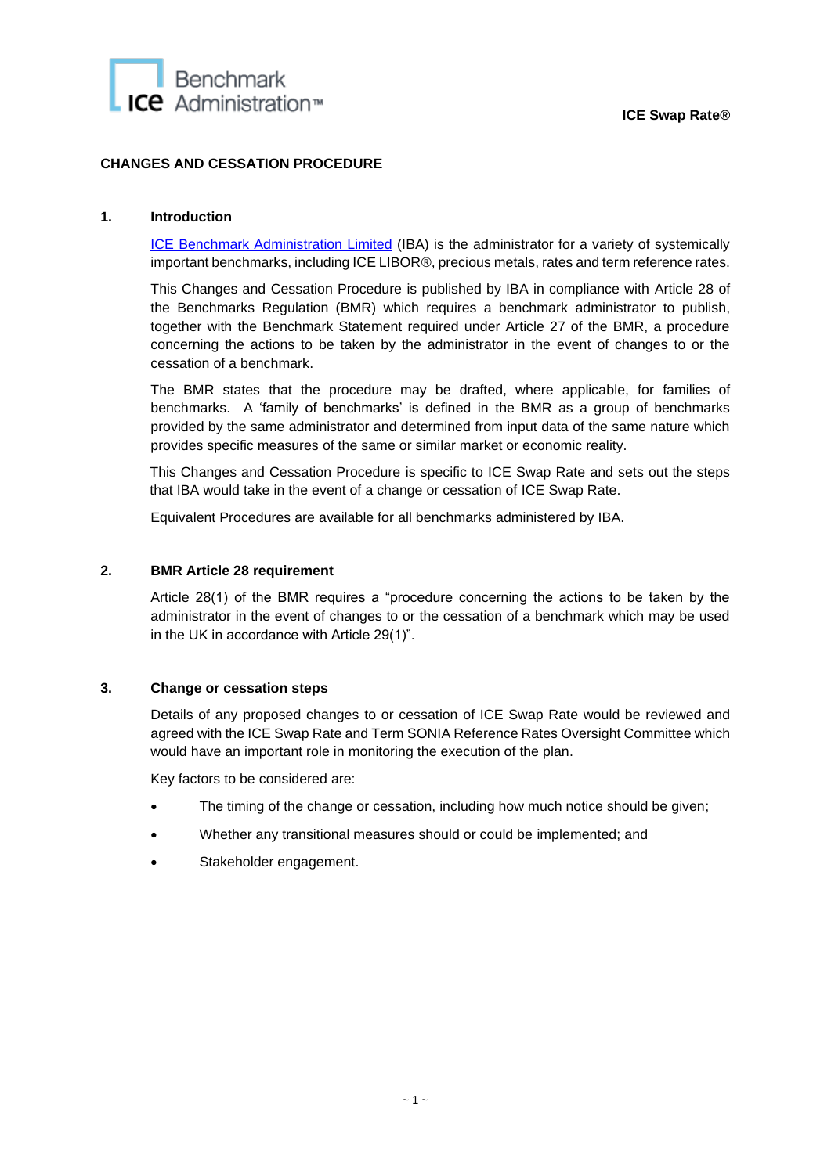

# **CHANGES AND CESSATION PROCEDURE**

#### **1. Introduction**

[ICE Benchmark Administration Limited](https://www.theice.com/iba) (IBA) is the administrator for a variety of systemically important benchmarks, including ICE LIBOR®, precious metals, rates and term reference rates.

This Changes and Cessation Procedure is published by IBA in compliance with Article 28 of the Benchmarks Regulation (BMR) which requires a benchmark administrator to publish, together with the Benchmark Statement required under Article 27 of the BMR, a procedure concerning the actions to be taken by the administrator in the event of changes to or the cessation of a benchmark.

The BMR states that the procedure may be drafted, where applicable, for families of benchmarks. A 'family of benchmarks' is defined in the BMR as a group of benchmarks provided by the same administrator and determined from input data of the same nature which provides specific measures of the same or similar market or economic reality.

This Changes and Cessation Procedure is specific to ICE Swap Rate and sets out the steps that IBA would take in the event of a change or cessation of ICE Swap Rate.

Equivalent Procedures are available for all benchmarks administered by IBA.

#### **2. BMR Article 28 requirement**

Article 28(1) of the BMR requires a "procedure concerning the actions to be taken by the administrator in the event of changes to or the cessation of a benchmark which may be used in the UK in accordance with Article 29(1)".

#### **3. Change or cessation steps**

Details of any proposed changes to or cessation of ICE Swap Rate would be reviewed and agreed with the ICE Swap Rate and Term SONIA Reference Rates Oversight Committee which would have an important role in monitoring the execution of the plan.

Key factors to be considered are:

- The timing of the change or cessation, including how much notice should be given;
- Whether any transitional measures should or could be implemented; and
- Stakeholder engagement.